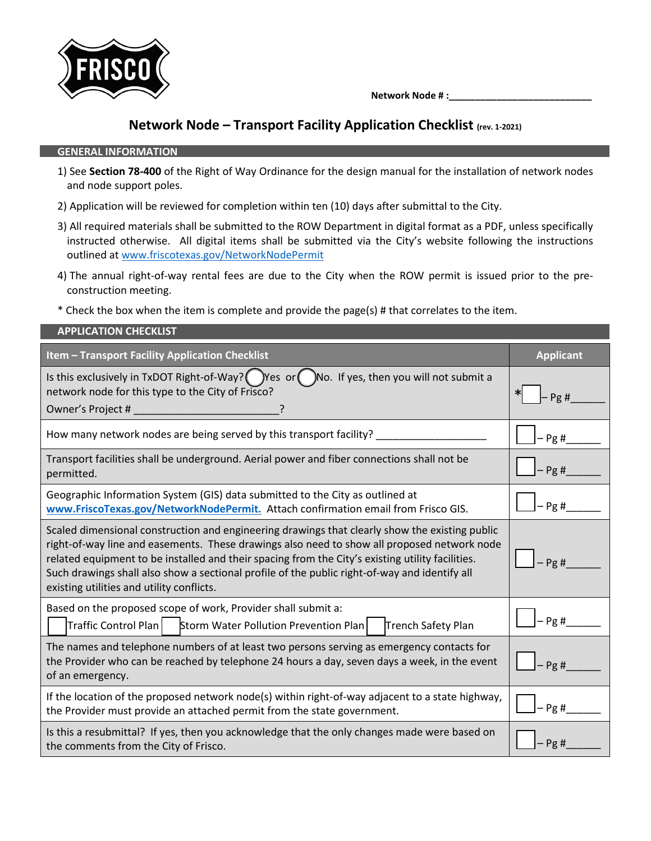

 **Network Node # :\_\_\_\_\_\_\_\_\_\_\_\_\_\_\_\_\_\_\_\_\_\_\_\_\_\_\_**

## **Network Node – Transport Facility Application Checklist (rev. 1-2021)**

## **GENERAL INFORMATION**

**APPLICATION CHECKLIST**

- 1) See **Section 78-400** of the Right of Way Ordinance for the design manual for the installation of network nodes and node support poles.
- 2) Application will be reviewed for completion within ten (10) days after submittal to the City.
- 3) All required materials shall be submitted to the ROW Department in digital format as a PDF, unless specifically instructed otherwise. All digital items shall be submitted via the City's website following the instructions outlined at [www.friscotexas.gov/NetworkNodePermit](http://www.friscotexas.gov/NetworkNodePermit)
- 4) The annual right-of-way rental fees are due to the City when the ROW permit is issued prior to the preconstruction meeting.
- \* Check the box when the item is complete and provide the page(s) # that correlates to the item.

| AFF LICATION CHLCKLIJI                                                                                                                                                                                                                                                                                                                                                                                                                          |                  |
|-------------------------------------------------------------------------------------------------------------------------------------------------------------------------------------------------------------------------------------------------------------------------------------------------------------------------------------------------------------------------------------------------------------------------------------------------|------------------|
| <b>Item - Transport Facility Application Checklist</b>                                                                                                                                                                                                                                                                                                                                                                                          | <b>Applicant</b> |
| Is this exclusively in TxDOT Right-of-Way? ( $\sum$ )Yes or ( $\sum$ )No. If yes, then you will not submit a<br>network node for this type to the City of Frisco?<br>Owner's Project #                                                                                                                                                                                                                                                          | Pg#              |
| How many network nodes are being served by this transport facility?                                                                                                                                                                                                                                                                                                                                                                             | $-$ Pg #         |
| Transport facilities shall be underground. Aerial power and fiber connections shall not be<br>permitted.                                                                                                                                                                                                                                                                                                                                        | $-Pg#$           |
| Geographic Information System (GIS) data submitted to the City as outlined at<br>www.FriscoTexas.gov/NetworkNodePermit. Attach confirmation email from Frisco GIS.                                                                                                                                                                                                                                                                              | $-$ Pg #         |
| Scaled dimensional construction and engineering drawings that clearly show the existing public<br>right-of-way line and easements. These drawings also need to show all proposed network node<br>related equipment to be installed and their spacing from the City's existing utility facilities.<br>Such drawings shall also show a sectional profile of the public right-of-way and identify all<br>existing utilities and utility conflicts. | Pg#              |
| Based on the proposed scope of work, Provider shall submit a:<br>Traffic Control Plan<br>Storm Water Pollution Prevention Plan<br>Trench Safety Plan                                                                                                                                                                                                                                                                                            | $-$ Pg #         |
| The names and telephone numbers of at least two persons serving as emergency contacts for<br>the Provider who can be reached by telephone 24 hours a day, seven days a week, in the event<br>of an emergency.                                                                                                                                                                                                                                   | Pg#              |
| If the location of the proposed network node(s) within right-of-way adjacent to a state highway,<br>the Provider must provide an attached permit from the state government.                                                                                                                                                                                                                                                                     | $-Pg#$           |
| Is this a resubmittal? If yes, then you acknowledge that the only changes made were based on<br>the comments from the City of Frisco.                                                                                                                                                                                                                                                                                                           | - Pg #           |